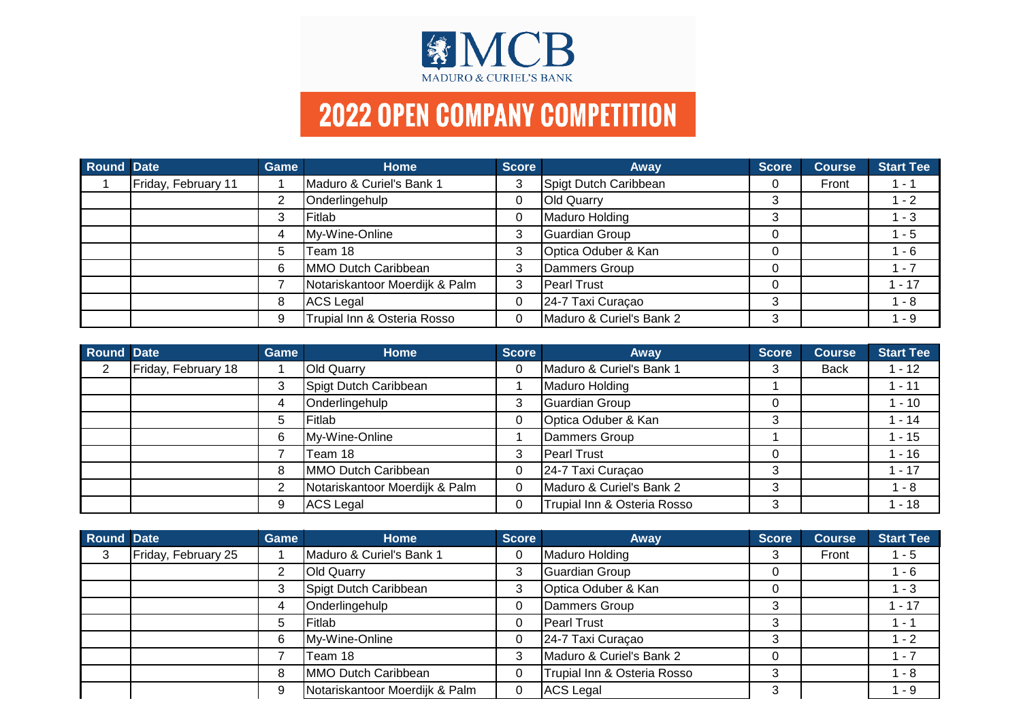

| Round Date |                     | <b>Game</b> | <b>Home</b>                    | Score | <b>Away</b>              | Score | <b>Course</b> | <b>Start Tee</b> |
|------------|---------------------|-------------|--------------------------------|-------|--------------------------|-------|---------------|------------------|
|            | Friday, February 11 |             | Maduro & Curiel's Bank 1       | 3     | Spigt Dutch Caribbean    |       | Front         | 1 - 1            |
|            |                     | ◠           | Onderlingehulp                 | 0     | <b>Old Quarry</b>        | 3     |               | $1 - 2$          |
|            |                     |             | Fitlab                         | 0     | Maduro Holding           | ົ     |               | 1 - 3            |
|            |                     |             | My-Wine-Online                 | 3     | Guardian Group           |       |               | 1 - 5            |
|            |                     | 5           | Team 18                        | 3     | Optica Oduber & Kan      |       |               | l - 6            |
|            |                     | 6           | MMO Dutch Caribbean            | 3     | Dammers Group            |       |               | 1 - 7            |
|            |                     |             | Notariskantoor Moerdijk & Palm | 3     | <b>Pearl Trust</b>       |       |               | $1 - 17$         |
|            |                     | 8           | ACS Legal                      | 0     | 24-7 Taxi Curaçao        | 3     |               | 1 - 8            |
|            |                     |             | Trupial Inn & Osteria Rosso    | 0     | Maduro & Curiel's Bank 2 | 3     |               | - 9              |

| Round Date     |                     | Game | <b>Home</b>                    | <b>Score</b> | Away                        | <b>Score</b> | <b>Course</b> | <b>Start Tee</b> |
|----------------|---------------------|------|--------------------------------|--------------|-----------------------------|--------------|---------------|------------------|
| $\overline{2}$ | Friday, February 18 |      | <b>Old Quarry</b>              | 0            | Maduro & Curiel's Bank 1    |              | <b>Back</b>   | $-12$            |
|                |                     | 3    | Spigt Dutch Caribbean          |              | Maduro Holding              |              |               | $-11$            |
|                |                     | 4    | Onderlingehulp                 | 3            | Guardian Group              |              |               | $-10$            |
|                |                     | 5    | <b>IFitlab</b>                 | 0            | Optica Oduber & Kan         |              |               | $-14$            |
|                |                     | 6    | My-Wine-Online                 |              | Dammers Group               |              |               | $-15$            |
|                |                     |      | Team 18                        | 3            | <b>Pearl Trust</b>          |              |               | $-16$            |
|                |                     | 8    | MMO Dutch Caribbean            | 0            | 24-7 Taxi Curaçao           |              |               | $-17$            |
|                |                     | 2    | Notariskantoor Moerdijk & Palm | 0            | Maduro & Curiel's Bank 2    | 3            |               | $1 - 8$          |
|                |                     | 9    | ACS Legal                      | 0            | Trupial Inn & Osteria Rosso | ર            |               | $-18$            |

| Round Date |                     | <b>Game</b> | <b>Home</b>                    | <b>Score</b> | <b>Away</b>                 | <b>Score</b> | <b>Course</b> | <b>Start Tee</b> |
|------------|---------------------|-------------|--------------------------------|--------------|-----------------------------|--------------|---------------|------------------|
| 3          | Friday, February 25 |             | Maduro & Curiel's Bank 1       | 0            | Maduro Holding              |              | Front         | 1 - 5            |
|            |                     | າ           | <b>Old Quarry</b>              | 3            | Guardian Group              |              |               | 1 - 6            |
|            |                     | 3           | Spigt Dutch Caribbean          | 3            | Optica Oduber & Kan         |              |               | $1 - 3$          |
|            |                     | 4           | Onderlingehulp                 | 0            | Dammers Group               |              |               | $1 - 17$         |
|            |                     | 5           | <b>Fitlab</b>                  | 0            | <b>Pearl Trust</b>          | 3            |               | ' - 1            |
|            |                     | 6           | My-Wine-Online                 | 0            | 24-7 Taxi Curaçao           | ≏            |               | $1 - 2$          |
|            |                     |             | Team 18                        | 3            | Maduro & Curiel's Bank 2    |              |               | $1 - 7$          |
|            |                     | 8           | MMO Dutch Caribbean            | 0            | Trupial Inn & Osteria Rosso | ◠            |               | 1 - 8            |
|            |                     | 9           | Notariskantoor Moerdijk & Palm | 0            | <b>ACS Legal</b>            | З            |               | $-9$             |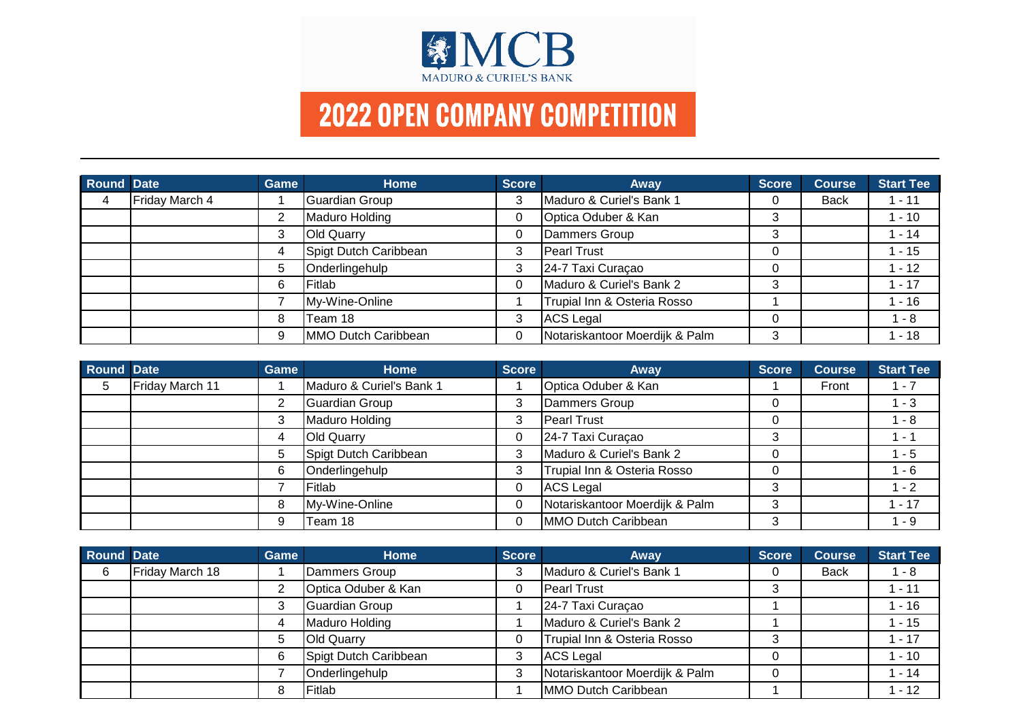

| Round Date     |                | Game | Home                  | Score | Away                           | <b>Score</b> | <b>Course</b> | <b>Start Tee</b> |
|----------------|----------------|------|-----------------------|-------|--------------------------------|--------------|---------------|------------------|
| $\overline{4}$ | Friday March 4 |      | Guardian Group        | 3     | Maduro & Curiel's Bank 1       | 0            | <b>Back</b>   | $1 - 11$         |
|                |                | າ    | Maduro Holding        | 0     | Optica Oduber & Kan            | 3            |               | $1 - 10$         |
|                |                | 3    | <b>Old Quarry</b>     | 0     | Dammers Group                  | ົ            |               | $1 - 14$         |
|                |                | 4    | Spigt Dutch Caribbean | 3     | <b>Pearl Trust</b>             |              |               | 1 - 15           |
|                |                | 5    | Onderlingehulp        | 3     | 24-7 Taxi Curaçao              |              |               | $1 - 12$         |
|                |                | 6    | <b>IFitlab</b>        | 0     | Maduro & Curiel's Bank 2       | ົ            |               | $1 - 17$         |
|                |                |      | My-Wine-Online        |       | Trupial Inn & Osteria Rosso    |              |               | 1 - 16           |
|                |                | 8    | Team 18               | 3     | ACS Legal                      |              |               | $1 - 8$          |
|                |                | 9    | MMO Dutch Caribbean   | 0     | Notariskantoor Moerdijk & Palm | 3            |               | $1 - 18$         |

| Round Date |                 | Game | <b>Home</b>              | <b>Score</b> | <b>Away</b>                    | <b>Score</b> | <b>Course</b> | <b>Start Tee</b> |
|------------|-----------------|------|--------------------------|--------------|--------------------------------|--------------|---------------|------------------|
| 5          | Friday March 11 |      | Maduro & Curiel's Bank 1 |              | Optica Oduber & Kan            |              | Front         | $1 - 7$          |
|            |                 | 2    | Guardian Group           | 3            | Dammers Group                  |              |               | $1 - 3$          |
|            |                 | 3    | Maduro Holding           | 3            | Pearl Trust                    |              |               | 1 - 8            |
|            |                 | 4    | <b>Old Quarry</b>        |              | 24-7 Taxi Curaçao              | ົ            |               | $1 - 1$          |
|            |                 | 5    | Spigt Dutch Caribbean    | 3            | Maduro & Curiel's Bank 2       |              |               | $1 - 5$          |
|            |                 | 6    | Onderlingehulp           | 3            | Trupial Inn & Osteria Rosso    |              |               | 1 - 6            |
|            |                 |      | Fitlab                   | 0            | <b>ACS Legal</b>               |              |               | $1 - 2$          |
|            |                 | 8    | My-Wine-Online           | 0            | Notariskantoor Moerdijk & Palm |              |               | $-17$            |
|            |                 | 9    | Team 18                  | ∩            | MMO Dutch Caribbean            |              |               | $1 - 9$          |

| Round Date |                 | <b>Game</b> | <b>Home</b>           | <b>Score</b> | Away                           | <b>Score</b> | <b>Course</b> | <b>Start Tee</b> |
|------------|-----------------|-------------|-----------------------|--------------|--------------------------------|--------------|---------------|------------------|
| 6          | Friday March 18 |             | Dammers Group         | 3            | Maduro & Curiel's Bank 1       |              | <b>Back</b>   | 1 - 8            |
|            |                 |             | Optica Oduber & Kan   | 0            | <b>Pearl Trust</b>             |              |               | $1 - 11$         |
|            |                 |             | Guardian Group        |              | 24-7 Taxi Curaçao              |              |               | $1 - 16$         |
|            |                 |             | Maduro Holding        |              | Maduro & Curiel's Bank 2       |              |               | $1 - 15$         |
|            |                 | b           | <b>Old Quarry</b>     | 0            | Trupial Inn & Osteria Rosso    | ົ            |               | $1 - 17$         |
|            |                 | 6           | Spigt Dutch Caribbean | 3            | ACS Legal                      |              |               | $1 - 10$         |
|            |                 |             | Onderlingehulp        | 3            | Notariskantoor Moerdijk & Palm |              |               | $1 - 14$         |
|            |                 | 8           | <b>Fitlab</b>         |              | MMO Dutch Caribbean            |              |               | $1 - 12$         |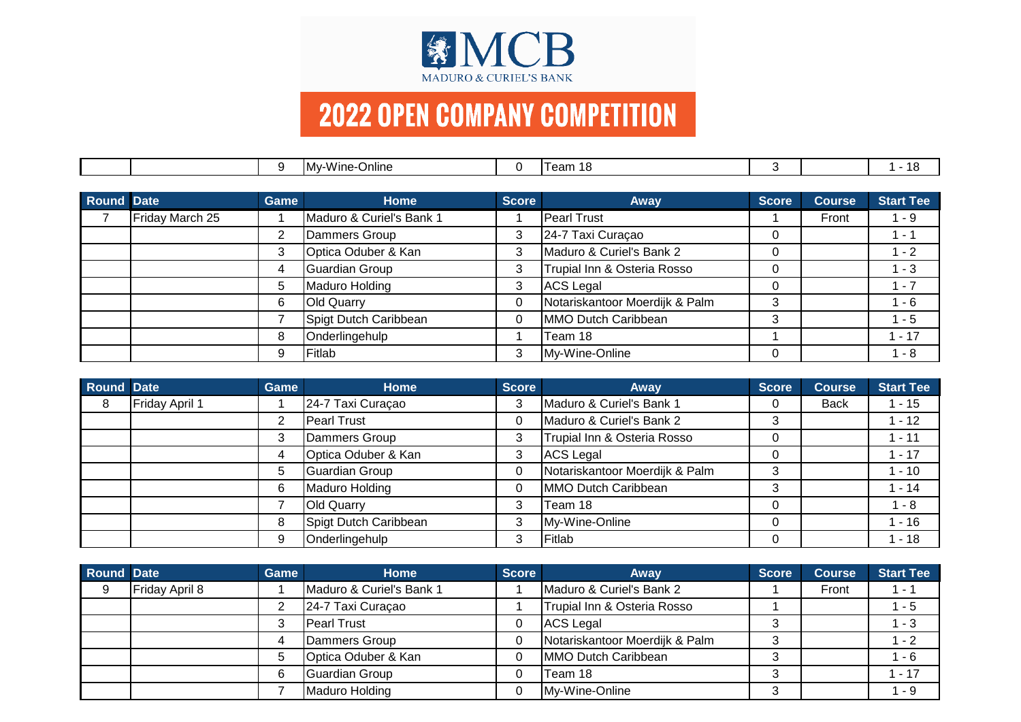

|            |                 | 9    | My-Wine-Online           | 0            | Team 18                        | 3            |               | - 18             |
|------------|-----------------|------|--------------------------|--------------|--------------------------------|--------------|---------------|------------------|
|            |                 |      |                          |              |                                |              |               |                  |
| Round Date |                 | Game | <b>Home</b>              | <b>Score</b> | <b>Away</b>                    | <b>Score</b> | <b>Course</b> | <b>Start Tee</b> |
|            | Friday March 25 |      | Maduro & Curiel's Bank 1 |              | Pearl Trust                    |              | Front         | 1 - 9            |
|            |                 | 2    | Dammers Group            | 3            | 24-7 Taxi Curaçao              | 0            |               | 1 - 1            |
|            |                 | 3    | Optica Oduber & Kan      | 3            | Maduro & Curiel's Bank 2       | 0            |               | $1 - 2$          |
|            |                 | 4    | Guardian Group           | 3            | Trupial Inn & Osteria Rosso    | 0            |               | $1 - 3$          |
|            |                 | 5    | Maduro Holding           | 3            | ACS Legal                      | 0            |               | $1 - 7$          |
|            |                 | 6    | <b>Old Quarry</b>        | $\mathbf 0$  | Notariskantoor Moerdijk & Palm | 3            |               | 1 - 6            |
|            |                 |      | Spigt Dutch Caribbean    | 0            | MMO Dutch Caribbean            | 3            |               | $1 - 5$          |
|            |                 | 8    | Onderlingehulp           |              | Team 18                        |              |               | $1 - 17$         |
|            |                 | 9    | Fitlab                   | 3            | My-Wine-Online                 | 0            |               | $1 - 8$          |

| Round Date |                | Game | <b>Home</b>           | <b>Score</b> | <b>Away</b>                    | <b>Score</b> | <b>Course</b> | <b>Start Tee</b> |
|------------|----------------|------|-----------------------|--------------|--------------------------------|--------------|---------------|------------------|
| 8          | Friday April 1 |      | 24-7 Taxi Curaçao     | 3            | Maduro & Curiel's Bank 1       |              | <b>Back</b>   | $-15$            |
|            |                | ⌒    | <b>Pearl Trust</b>    |              | Maduro & Curiel's Bank 2       |              |               | $-12$            |
|            |                | 3    | Dammers Group         | 3            | Trupial Inn & Osteria Rosso    |              |               | $-11$            |
|            |                | 4    | Optica Oduber & Kan   | 3            | <b>ACS Legal</b>               |              |               | $-17$            |
|            |                | 5    | Guardian Group        |              | Notariskantoor Moerdijk & Palm |              |               | $-10$            |
|            |                | 6    | Maduro Holding        |              | MMO Dutch Caribbean            |              |               | $-14$            |
|            |                |      | <b>Old Quarry</b>     | 3            | Team 18                        |              |               | $-8$             |
|            |                | 8    | Spigt Dutch Caribbean | 3            | My-Wine-Online                 |              |               | $-16$            |
|            |                | 9    | Onderlingehulp        | 3            | Fitlab                         |              |               | $-18$            |

| Round Date |                | Game | Home                     | <b>Score</b> | <b>Away</b>                    | <b>Score</b> | <b>Course</b> | <b>Start Tee</b> |
|------------|----------------|------|--------------------------|--------------|--------------------------------|--------------|---------------|------------------|
|            | Friday April 8 |      | Maduro & Curiel's Bank 1 |              | Maduro & Curiel's Bank 2       |              | Front         | $1 - 1$          |
|            |                |      | 24-7 Taxi Curaçao        |              | Trupial Inn & Osteria Rosso    |              |               | 1 - 5            |
|            |                |      | <b>Pearl Trust</b>       | 0            | ACS Legal                      |              |               | 1 - 3            |
|            |                |      | Dammers Group            | 0            | Notariskantoor Moerdijk & Palm |              |               | 1 - 2            |
|            |                |      | Optica Oduber & Kan      | 0            | MMO Dutch Caribbean            |              |               | 1 - 6            |
|            |                |      | Guardian Group           | 0            | Team 18                        | w            |               | $1 - 17$         |
|            |                |      | Maduro Holding           | 0            | My-Wine-Online                 |              |               | 1 - 9            |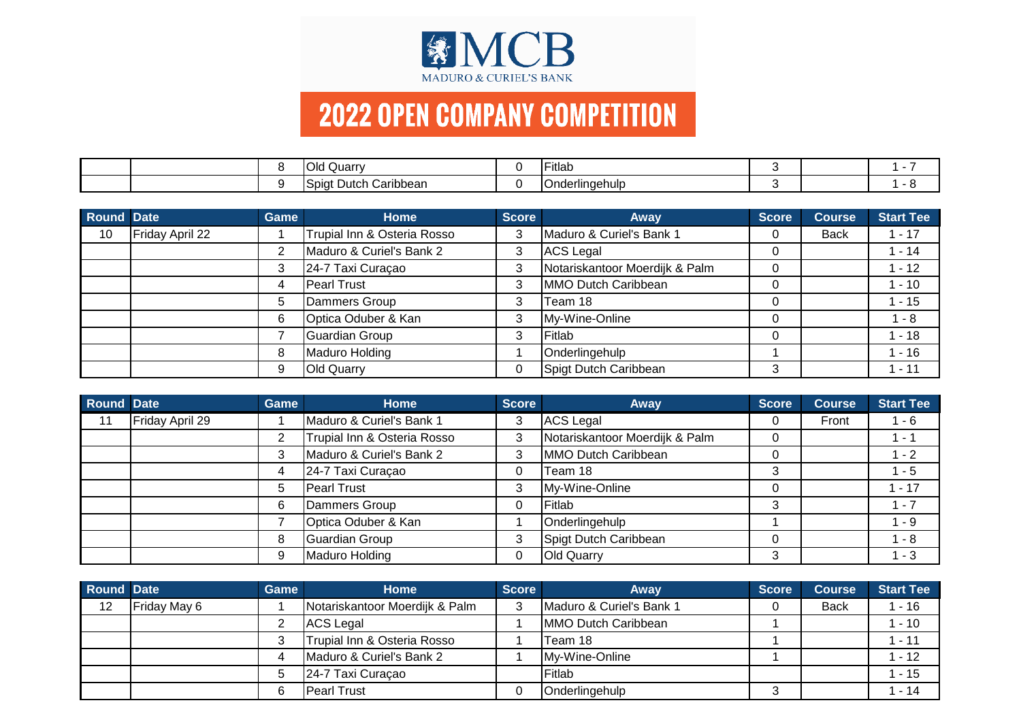

|  | Quarry<br>IUId                       | $-1$<br>∙ıtlab |  |  |
|--|--------------------------------------|----------------|--|--|
|  | .<br>ا Caribbean<br>Dutch<br>, SDIC' | Onderlingehulp |  |  |

| <b>Round Date</b> |                 | Game | <b>Home</b>                 | <b>Score</b> | <b>Away</b>                    | <b>Score</b> | <b>Course</b> | <b>Start Tee</b> |
|-------------------|-----------------|------|-----------------------------|--------------|--------------------------------|--------------|---------------|------------------|
| 10                | Friday April 22 |      | Trupial Inn & Osteria Rosso | 3            | Maduro & Curiel's Bank 1       |              | <b>Back</b>   | $-17$            |
|                   |                 | 2    | Maduro & Curiel's Bank 2    | 3            | ACS Legal                      |              |               | $-14$            |
|                   |                 |      | 24-7 Taxi Curaçao           | 3            | Notariskantoor Moerdijk & Palm |              |               | $-12$            |
|                   |                 |      | Pearl Trust                 | 3            | MMO Dutch Caribbean            |              |               | $-10$            |
|                   |                 | 5    | Dammers Group               | 3            | Team 18                        |              |               | $-15$            |
|                   |                 | 6    | Optica Oduber & Kan         | 3            | My-Wine-Online                 |              |               | 1 - 8            |
|                   |                 |      | Guardian Group              | 3            | Fitlab                         |              |               | $-18$            |
|                   |                 | 8    | Maduro Holding              |              | Onderlingehulp                 |              |               | $-16$            |
|                   |                 | 9    | <b>Old Quarry</b>           | 0            | Spigt Dutch Caribbean          | 3            |               | $-11$            |

| Round Date |                 | Game | <b>Home</b>                 | <b>Score</b> | <b>Away</b>                    | <b>Score</b> | <b>Course</b> | <b>Start Tee</b> |
|------------|-----------------|------|-----------------------------|--------------|--------------------------------|--------------|---------------|------------------|
| 11         | Friday April 29 |      | Maduro & Curiel's Bank 1    | 3            | <b>ACS Legal</b>               |              | Front         | $-6$             |
|            |                 | 2    | Trupial Inn & Osteria Rosso | 3            | Notariskantoor Moerdijk & Palm |              |               | - 1              |
|            |                 | 3    | Maduro & Curiel's Bank 2    | 3            | MMO Dutch Caribbean            |              |               | $-2$             |
|            |                 | 4    | 24-7 Taxi Curaçao           | 0            | Team 18                        |              |               | $-5$             |
|            |                 | 5    | Pearl Trust                 | 3            | My-Wine-Online                 |              |               | $-17$            |
|            |                 | 6    | Dammers Group               | ⌒            | Fitlab                         |              |               | $-7$             |
|            |                 |      | Optica Oduber & Kan         |              | Onderlingehulp                 |              |               | 1 - 9            |
|            |                 | 8    | Guardian Group              | 3            | Spigt Dutch Caribbean          |              |               | $-8$             |
|            |                 | 9    | Maduro Holding              | 0            | <b>Old Quarry</b>              |              |               | $1 - 3$          |

| Round Date |              | <b>Game</b> | Home                                 | <b>Score</b> | Away                     | <b>Score</b> | <b>Course</b> | <b>Start Tee</b> |
|------------|--------------|-------------|--------------------------------------|--------------|--------------------------|--------------|---------------|------------------|
| 12         | Friday May 6 |             | Notariskantoor Moerdijk & Palm       | 3            | Maduro & Curiel's Bank 1 |              | <b>Back</b>   | $-16$            |
|            |              |             | <b>ACS Legal</b>                     |              | MMO Dutch Caribbean      |              |               | $-10$            |
|            |              |             | Trupial Inn & Osteria Rosso          |              | Team 18                  |              |               | $-11$            |
|            |              |             | <b>IMaduro &amp; Curiel's Bank 2</b> |              | My-Wine-Online           |              |               | $-12$            |
|            |              |             | 24-7 Taxi Curaçao                    |              | Fitlab                   |              |               | $-15$            |
|            |              |             | <b>Pearl Trust</b>                   | 0            | Onderlingehulp           |              |               | $-14$            |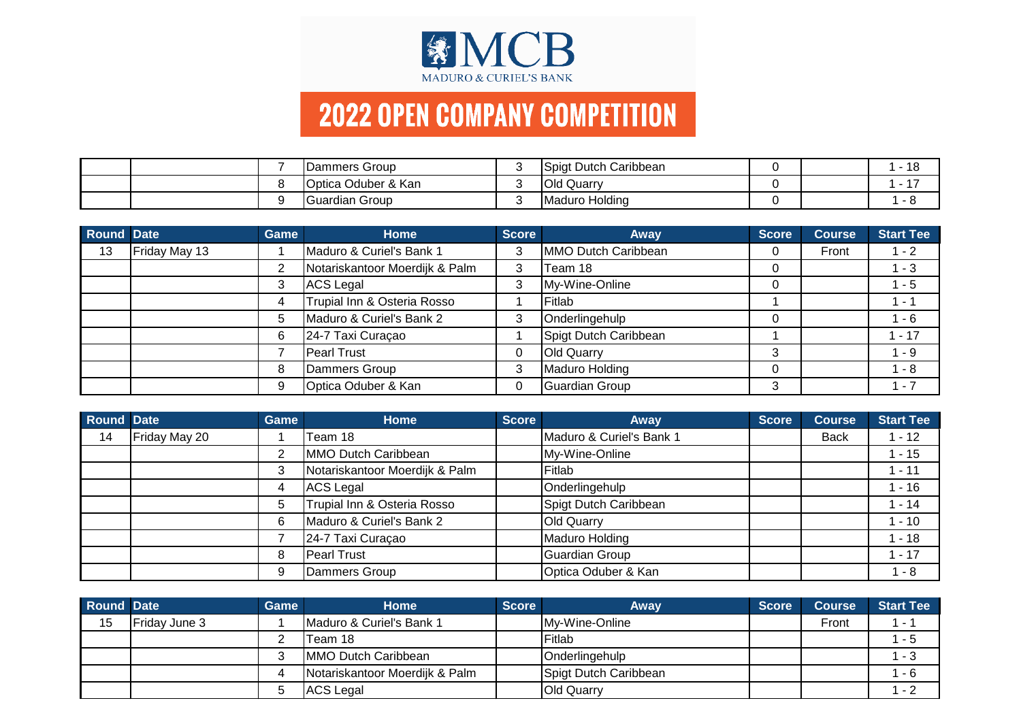

|  | Dammers Group       | Spigt Dutch Caribbean |  | $\overline{A}$<br>- 10 |
|--|---------------------|-----------------------|--|------------------------|
|  | Optica Oduber & Kan | <b>Old Quarry</b>     |  |                        |
|  | ∎Guardian Group     | Maduro Holding        |  | $ \epsilon$            |

| Round Date |               | Game | Home                           | <b>Score</b> | <b>Away</b>           | <b>Score</b> | <b>Course</b> | <b>Start Tee</b> |
|------------|---------------|------|--------------------------------|--------------|-----------------------|--------------|---------------|------------------|
| 13         | Friday May 13 |      | Maduro & Curiel's Bank 1       | 3            | MMO Dutch Caribbean   |              | Front         | $-2$             |
|            |               | 2    | Notariskantoor Moerdijk & Palm | 3            | Team 18               |              |               | $-3$             |
|            |               |      | <b>ACS Legal</b>               | 3            | My-Wine-Online        |              |               | $-5$             |
|            |               |      | Trupial Inn & Osteria Rosso    |              | Fitlab                |              |               | - 1              |
|            |               | 5    | Maduro & Curiel's Bank 2       | 3            | Onderlingehulp        |              |               | - 6              |
|            |               | 6    | 24-7 Taxi Curaçao              |              | Spigt Dutch Caribbean |              |               | $1 - 17$         |
|            |               |      | Pearl Trust                    |              | <b>Old Quarry</b>     |              |               | $-9$             |
|            |               | 8    | Dammers Group                  | 3            | Maduro Holding        |              |               | $-8$             |
|            |               | 9    | Optica Oduber & Kan            | 0            | Guardian Group        |              |               | $-7$             |

| Round Date |               | Game | <b>Home</b>                    | <b>Score</b> | <b>Away</b>              | <b>Score</b> | <b>Course</b> | <b>Start Tee</b> |
|------------|---------------|------|--------------------------------|--------------|--------------------------|--------------|---------------|------------------|
| 14         | Friday May 20 |      | Team 18                        |              | Maduro & Curiel's Bank 1 |              | <b>Back</b>   | $-12$            |
|            |               | 2    | MMO Dutch Caribbean            |              | My-Wine-Online           |              |               | $-15$            |
|            |               | 3    | Notariskantoor Moerdijk & Palm |              | Fitlab                   |              |               | $-11$            |
|            |               | 4    | ACS Legal                      |              | Onderlingehulp           |              |               | $-16$            |
|            |               | 5    | Trupial Inn & Osteria Rosso    |              | Spigt Dutch Caribbean    |              |               | $-14$            |
|            |               | 6    | Maduro & Curiel's Bank 2       |              | <b>Old Quarry</b>        |              |               | $-10$            |
|            |               |      | 24-7 Taxi Curaçao              |              | Maduro Holding           |              |               | $-18$            |
|            |               | 8    | <b>Pearl Trust</b>             |              | <b>Guardian Group</b>    |              |               | $-17$            |
|            |               | 9    | Dammers Group                  |              | Optica Oduber & Kan      |              |               | - 8              |

| Round Date |                      | <b>Game</b> | Home                           | <b>Score</b> | Away                  | <b>Score</b> | <b>Course</b> | <b>Start Tee</b>         |
|------------|----------------------|-------------|--------------------------------|--------------|-----------------------|--------------|---------------|--------------------------|
| 15         | <b>Friday June 3</b> |             | Maduro & Curiel's Bank 1       |              | My-Wine-Online        |              | Front         | $\overline{\phantom{a}}$ |
|            |                      |             | lTeam 18                       |              | Fitlab                |              |               | - 5                      |
|            |                      |             | <b>IMMO Dutch Caribbean</b>    |              | Onderlingehulp        |              |               | - 3                      |
|            |                      |             | Notariskantoor Moerdijk & Palm |              | Spigt Dutch Caribbean |              |               | 1 - 6                    |
|            |                      |             | <b>ACS Legal</b>               |              | <b>Old Quarry</b>     |              |               | - 2                      |